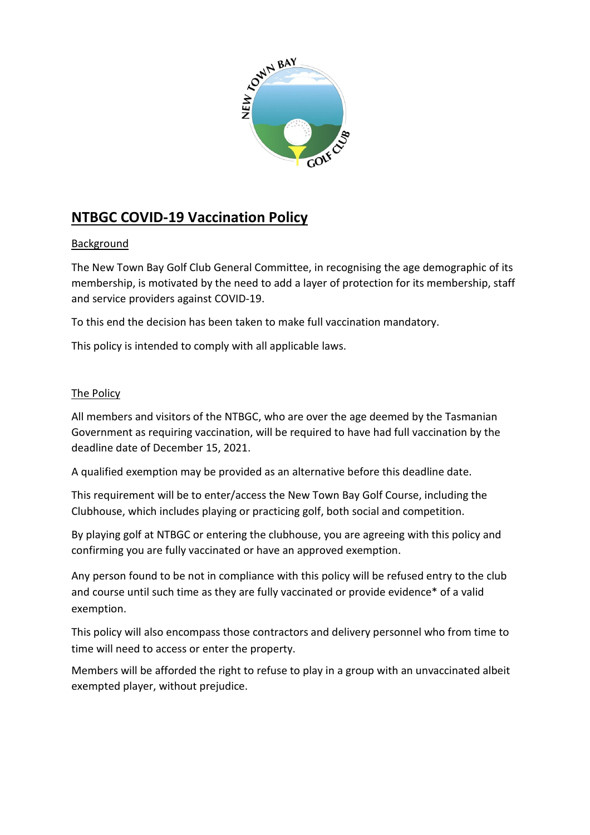

## NTBGC COVID-19 Vaccination Policy

## **Background**

The New Town Bay Golf Club General Committee, in recognising the age demographic of its membership, is motivated by the need to add a layer of protection for its membership, staff and service providers against COVID-19.

To this end the decision has been taken to make full vaccination mandatory.

This policy is intended to comply with all applicable laws.

## The Policy

All members and visitors of the NTBGC, who are over the age deemed by the Tasmanian Government as requiring vaccination, will be required to have had full vaccination by the deadline date of December 15, 2021.

A qualified exemption may be provided as an alternative before this deadline date.

This requirement will be to enter/access the New Town Bay Golf Course, including the Clubhouse, which includes playing or practicing golf, both social and competition.

By playing golf at NTBGC or entering the clubhouse, you are agreeing with this policy and confirming you are fully vaccinated or have an approved exemption.

Any person found to be not in compliance with this policy will be refused entry to the club and course until such time as they are fully vaccinated or provide evidence\* of a valid exemption.

This policy will also encompass those contractors and delivery personnel who from time to time will need to access or enter the property.

Members will be afforded the right to refuse to play in a group with an unvaccinated albeit exempted player, without prejudice.